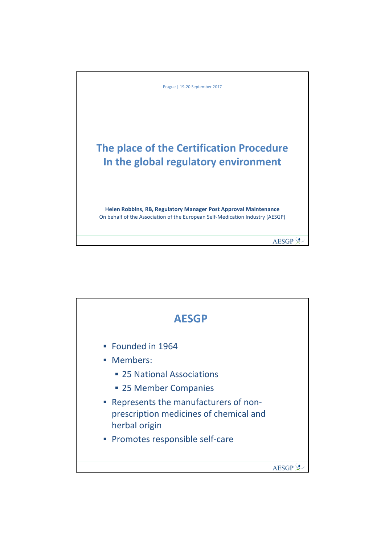

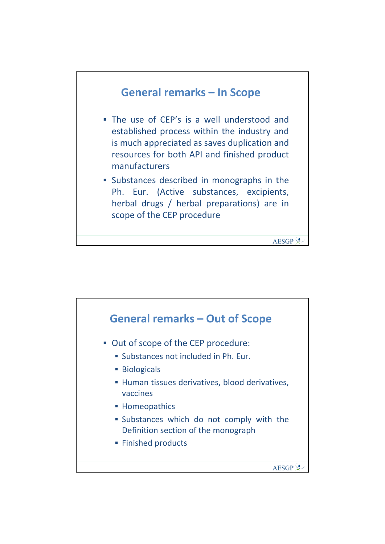

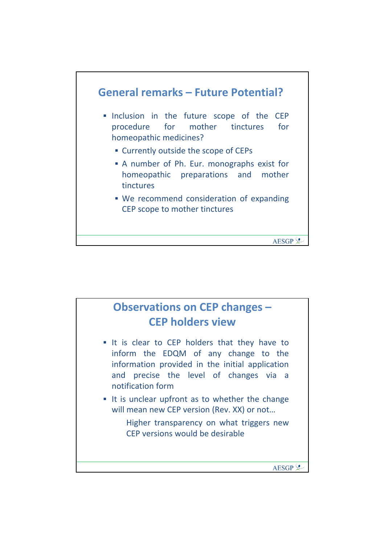

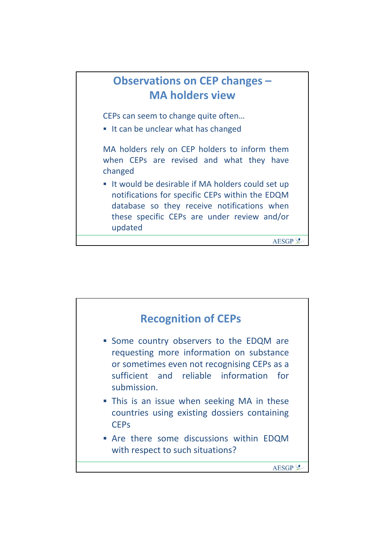

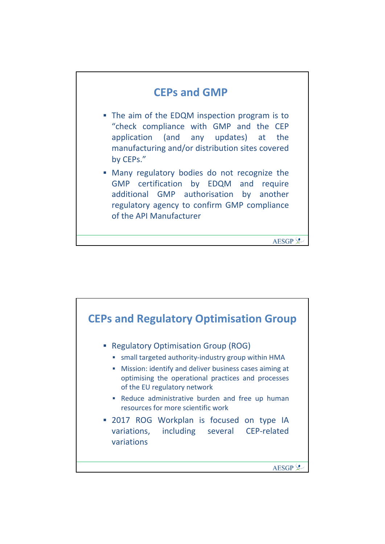## **CEPs and GMP**

- The aim of the EDQM inspection program is to "check compliance with GMP and the CEP application (and any updates) at the manufacturing and/or distribution sites covered by CEPs."
- Many regulatory bodies do not recognize the GMP certification by EDQM and require additional GMP authorisation by another regulatory agency to confirm GMP compliance of the API Manufacturer